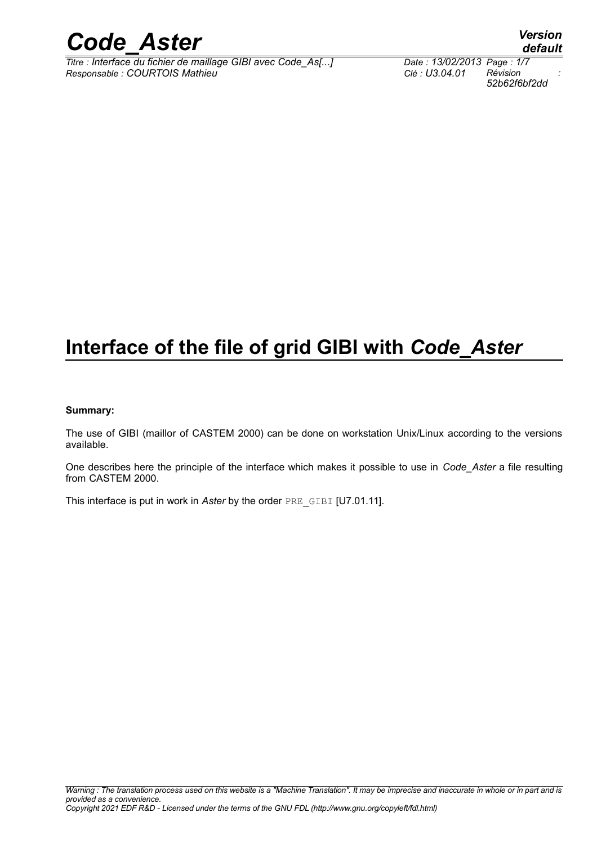

*Titre : Interface du fichier de maillage GIBI avec Code\_As[...] Date : 13/02/2013 Page : 1/7 Responsable : COURTOIS Mathieu Clé : U3.04.01 Révision :*

### **Interface of the file of grid GIBI with** *Code\_Aster*

### **Summary:**

The use of GIBI (maillor of CASTEM 2000) can be done on workstation Unix/Linux according to the versions available.

One describes here the principle of the interface which makes it possible to use in *Code\_Aster* a file resulting from CASTEM 2000.

This interface is put in work in *Aster* by the order PRE\_GIBI [U7.01.11].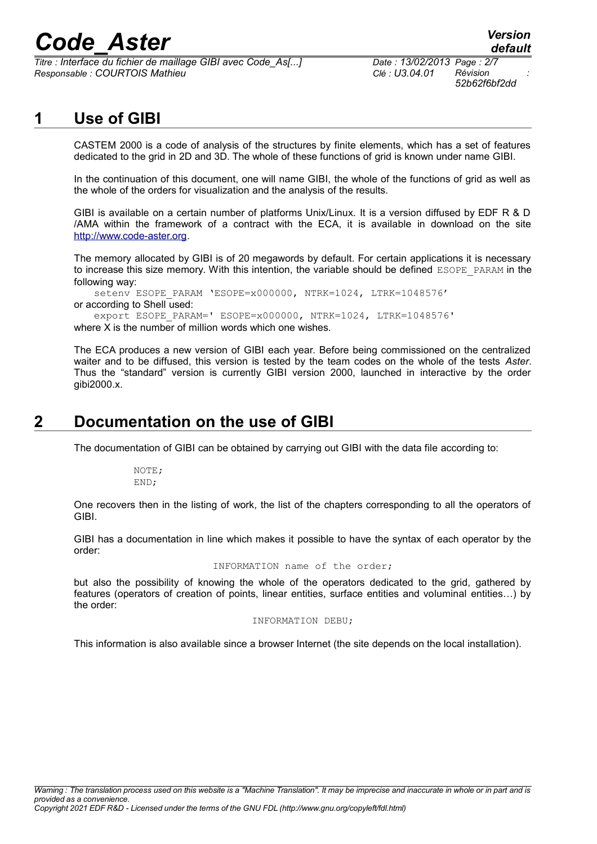*Titre : Interface du fichier de maillage GIBI avec Code\_As[...] Date : 13/02/2013 Page : 2/7 Responsable : COURTOIS Mathieu Clé : U3.04.01 Révision :*

*52b62f6bf2dd*

### **1 Use of GIBI**

CASTEM 2000 is a code of analysis of the structures by finite elements, which has a set of features dedicated to the grid in 2D and 3D. The whole of these functions of grid is known under name GIBI.

In the continuation of this document, one will name GIBI, the whole of the functions of grid as well as the whole of the orders for visualization and the analysis of the results.

GIBI is available on a certain number of platforms Unix/Linux. It is a version diffused by EDF R & D /AMA within the framework of a contract with the ECA, it is available in download on the site [http://www.code-aster.org.](http://www.code-aster.org/)

The memory allocated by GIBI is of 20 megawords by default. For certain applications it is necessary to increase this size memory. With this intention, the variable should be defined ESOPE\_PARAM in the following way:

setenv ESOPE PARAM 'ESOPE=x000000, NTRK=1024, LTRK=1048576' or according to Shell used:

export ESOPE\_PARAM=' ESOPE=x000000, NTRK=1024, LTRK=1048576'

where X is the number of million words which one wishes.

The ECA produces a new version of GIBI each year. Before being commissioned on the centralized waiter and to be diffused, this version is tested by the team codes on the whole of the tests *Aster*. Thus the "standard" version is currently GIBI version 2000, launched in interactive by the order gibi2000.x.

### **2 Documentation on the use of GIBI**

The documentation of GIBI can be obtained by carrying out GIBI with the data file according to:

NOTE; END;

One recovers then in the listing of work, the list of the chapters corresponding to all the operators of GIBI.

GIBI has a documentation in line which makes it possible to have the syntax of each operator by the order:

INFORMATION name of the order;

but also the possibility of knowing the whole of the operators dedicated to the grid, gathered by features (operators of creation of points, linear entities, surface entities and voluminal entities…) by the order:

#### INFORMATION DEBU;

This information is also available since a browser Internet (the site depends on the local installation).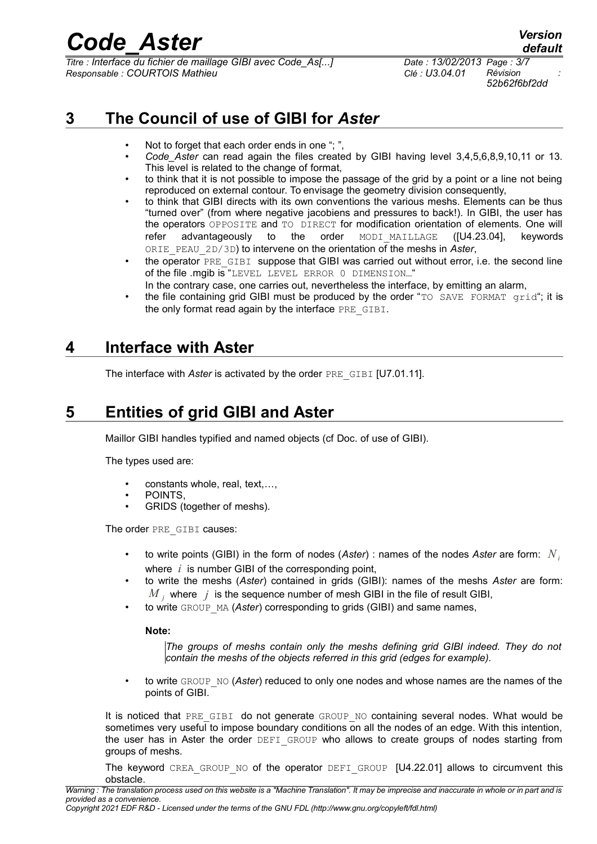*Titre : Interface du fichier de maillage GIBI avec Code\_As[...] Date : 13/02/2013 Page : 3/7 Responsable : COURTOIS Mathieu Clé : U3.04.01 Révision :*

*52b62f6bf2dd*

### **3 The Council of use of GIBI for** *Aster*

- Not to forget that each order ends in one "; "
- *Code\_Aster* can read again the files created by GIBI having level 3,4,5,6,8,9,10,11 or 13. This level is related to the change of format,
- to think that it is not possible to impose the passage of the grid by a point or a line not being reproduced on external contour. To envisage the geometry division consequently,
- to think that GIBI directs with its own conventions the various meshs. Elements can be thus "turned over" (from where negative jacobiens and pressures to back!). In GIBI, the user has the operators OPPOSITE and TO DIRECT for modification orientation of elements. One will refer advantageously to the order MODI\_MAILLAGE (IU4.23.04), keywords ORIE\_PEAU\_2D/3D) to intervene on the orientation of the meshs in *Aster*,
- the operator PRE GIBI suppose that GIBI was carried out without error, i.e. the second line of the file .mgib is "LEVEL LEVEL ERROR 0 DIMENSION…"
- In the contrary case, one carries out, nevertheless the interface, by emitting an alarm,
- the file containing grid GIBI must be produced by the order "TO SAVE FORMAT grid"; it is the only format read again by the interface PRE GIBI.

### **4 Interface with Aster**

The interface with *Aster* is activated by the order PRE\_GIBI [U7.01.11].

### **5 Entities of grid GIBI and Aster**

Maillor GIBI handles typified and named objects (cf Doc. of use of GIBI).

The types used are:

- constants whole, real, text,…,
- POINTS,
- GRIDS (together of meshs).

The order PRE\_GIBI causes:

- to write points (GIBI) in the form of nodes (*Aster*) : names of the nodes *Aster* are form: *N<sup>i</sup>* where *i* is number GIBI of the corresponding point,
- to write the meshs (*Aster*) contained in grids (GIBI): names of the meshs *Aster* are form:  $\overline{M}_{\overline{j}}$  where  $\overline{j}$  is the sequence number of mesh GIBI in the file of result GIBI,
- to write GROUP MA (*Aster*) corresponding to grids (GIBI) and same names,

### **Note:**

*The groups of meshs contain only the meshs defining grid GIBI indeed. They do not contain the meshs of the objects referred in this grid (edges for example).*

to write GROUP NO (*Aster*) reduced to only one nodes and whose names are the names of the points of GIBI.

It is noticed that PRE GIBI do not generate GROUP NO containing several nodes. What would be sometimes very useful to impose boundary conditions on all the nodes of an edge. With this intention, the user has in Aster the order DEFI GROUP who allows to create groups of nodes starting from groups of meshs.

The keyword CREA GROUP NO of the operator DEFI GROUP [U4.22.01] allows to circumvent this obstacle.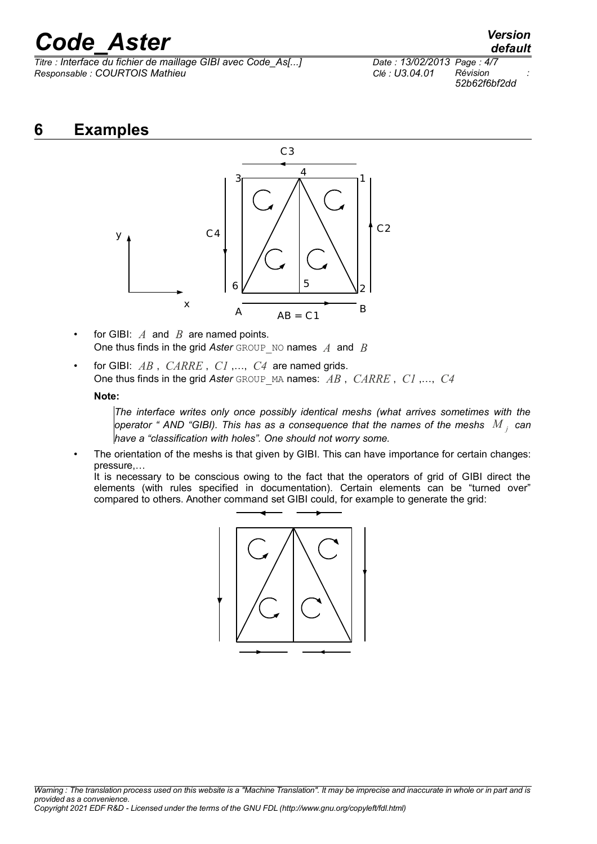*Titre : Interface du fichier de maillage GIBI avec Code\_As[...] Date : 13/02/2013 Page : 4/7 Responsable : COURTOIS Mathieu Clé : U3.04.01 Révision :*

*52b62f6bf2dd*

### **6 Examples**



- for GIBI: *A* and *B* are named points. One thus finds in the grid *Aster* GROUP\_NO names *A* and *B*
- for GIBI: *AB* , *CARRE* , *C1* ,…, *C4* are named grids. One thus finds in the grid *Aster* GROUP\_MA names: *AB* , *CARRE* , *C1* ,…, *C4*

### **Note:**

*The interface writes only once possibly identical meshs (what arrives sometimes with the operator " AND "GIBI). This has as a consequence that the names of the meshs M <sup>j</sup> can have a "classification with holes". One should not worry some.*

The orientation of the meshs is that given by GIBI. This can have importance for certain changes: pressure,…

It is necessary to be conscious owing to the fact that the operators of grid of GIBI direct the elements (with rules specified in documentation). Certain elements can be "turned over" compared to others. Another command set GIBI could, for example to generate the grid:

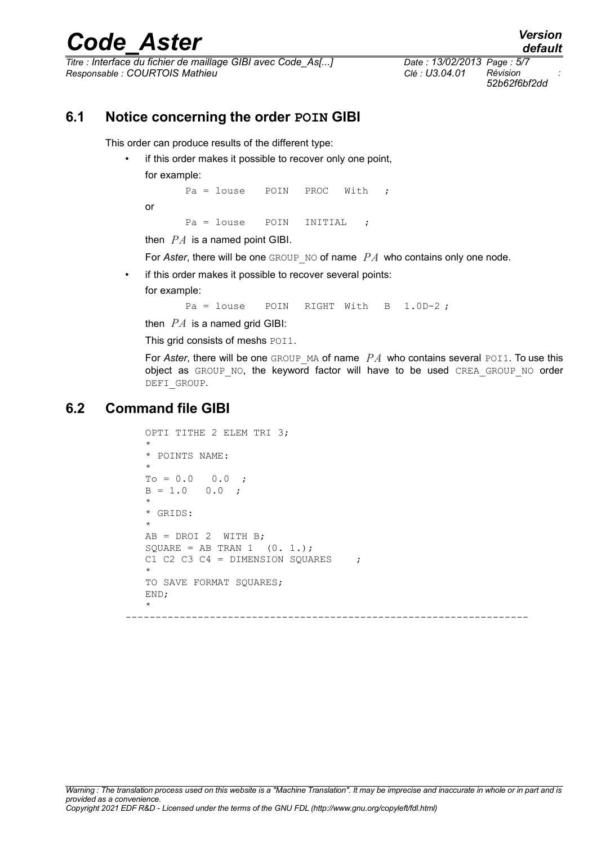*Titre : Interface du fichier de maillage GIBI avec Code\_As[...] Date : 13/02/2013 Page : 5/7 Responsable : COURTOIS Mathieu Clé : U3.04.01 Révision :*

*52b62f6bf2dd*

### **6.1 Notice concerning the order POIN GIBI**

This order can produce results of the different type:

if this order makes it possible to recover only one point,

for example:

or

Pa = louse POIN PROC With ; Pa = louse POIN INITIAL ;

then *PA* is a named point GIBI.

For *Aster*, there will be one GROUP NO of name *PA* who contains only one node.

if this order makes it possible to recover several points:

for example:

Pa = louse POIN RIGHT With B 1.0D-2;

then  $PA$  is a named grid GIBI:

This grid consists of meshs POI1.

For *Aster*, there will be one GROUP MA of name *PA* who contains several POI1. To use this object as GROUP NO, the keyword factor will have to be used CREA GROUP NO order DEFI\_GROUP.

### **6.2 Command file GIBI**

```
OPTI TITHE 2 ELEM TRI 3;
*
* POINTS NAME:
*
TQ = 0.0 0.0;
B = 1.0 0.0;
*
* GRIDS:
*
AB = DROI 2 WITH B;
SQUARE = AB TRAN 1 (0. 1.);
C1 C2 C3 C4 = DIMENSION SQUARES ;
*
TO SAVE FORMAT SOUARES;
END;
*
```
-------------------------------------------------------------------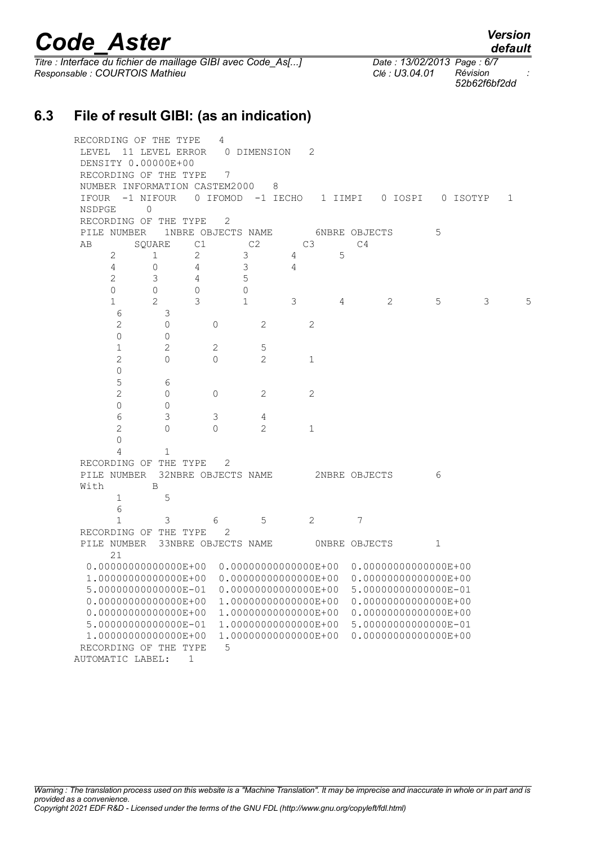*Titre : Interface du fichier de maillage GIBI avec Code\_As[...] Date : 13/02/2013 Page : 6/7 Responsable : COURTOIS Mathieu Clé : U3.04.01 Révision :*

**6.3 File of result GIBI: (as an indication)**

AUTOMATIC LABEL: 1

RECORDING OF THE TYPE 4 LEVEL 11 LEVEL ERROR 0 DIMENSION 2 DENSITY 0.00000E+00 RECORDING OF THE TYPE 7 NUMBER INFORMATION CASTEM2000 8 IFOUR -1 NIFOUR 0 IFOMOD -1 IECHO 1 IIMPI 0 IOSPI 0 ISOTYP 1 NSDPGE 0 RECORDING OF THE TYPE 2 PILE NUMBER 1NBRE OBJECTS NAME 6NBRE OBJECTS 5 AB SQUARE C1 C2 C3 C4 2 1 2 3 4 5 4 0 4 3 4 2 3 4 5 0 0 0 0 1 2 3 1 3 4 2 5 3 5 6 3 2 0 0 2 2 0 0 1 2 2 5 2 0 0 2 1 0 5 6 2 0 0 2 2 0 0 6 3 3 4 2 0 0 2 1  $\Omega$  4 1 RECORDING OF THE TYPE 2 PILE NUMBER 32NBRE OBJECTS NAME 2NBRE OBJECTS 6 With B 1 5 6 1 3 6 5 2 7 RECORDING OF THE TYPE 2 PILE NUMBER 33NBRE OBJECTS NAME 0NBRE OBJECTS 1 21 0.00000000000000E+00 0.00000000000000E+00 0.00000000000000E+00 1.00000000000000E+00 0.00000000000000E+00 0.00000000000000E+00 5.00000000000000E-01 0.00000000000000E+00 5.00000000000000E-01 0.00000000000000E+00 1.00000000000000E+00 0.00000000000000E+00 0.00000000000000E+00 1.00000000000000E+00 0.00000000000000E+00 5.00000000000000E-01 1.00000000000000E+00 5.00000000000000E-01 1.00000000000000E+00 1.00000000000000E+00 0.00000000000000E+00 RECORDING OF THE TYPE 5

*52b62f6bf2dd*